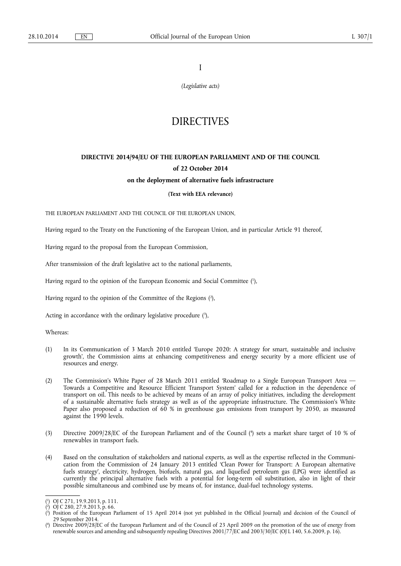I

*(Legislative acts)* 

## **DIRECTIVES**

# **DIRECTIVE 2014/94/EU OF THE EUROPEAN PARLIAMENT AND OF THE COUNCIL of 22 October 2014**

## **on the deployment of alternative fuels infrastructure**

## **(Text with EEA relevance)**

THE EUROPEAN PARLIAMENT AND THE COUNCIL OF THE EUROPEAN UNION,

Having regard to the Treaty on the Functioning of the European Union, and in particular Article 91 thereof,

Having regard to the proposal from the European Commission,

After transmission of the draft legislative act to the national parliaments,

Having regard to the opinion of the European Economic and Social Committee ( 1 ),

Having regard to the opinion of the Committee of the Regions ( 2 ),

Acting in accordance with the ordinary legislative procedure  $(3)$ ,

Whereas:

- (1) In its Communication of 3 March 2010 entitled 'Europe 2020: A strategy for smart, sustainable and inclusive growth', the Commission aims at enhancing competitiveness and energy security by a more efficient use of resources and energy.
- (2) The Commission's White Paper of 28 March 2011 entitled 'Roadmap to a Single European Transport Area Towards a Competitive and Resource Efficient Transport System' called for a reduction in the dependence of transport on oil. This needs to be achieved by means of an array of policy initiatives, including the development of a sustainable alternative fuels strategy as well as of the appropriate infrastructure. The Commission's White Paper also proposed a reduction of 60 % in greenhouse gas emissions from transport by 2050, as measured against the 1990 levels.
- (3) Directive 2009/28/EC of the European Parliament and of the Council ( 4 ) sets a market share target of 10 % of renewables in transport fuels.
- (4) Based on the consultation of stakeholders and national experts, as well as the expertise reflected in the Communication from the Commission of 24 January 2013 entitled 'Clean Power for Transport: A European alternative fuels strategy', electricity, hydrogen, biofuels, natural gas, and liquefied petroleum gas (LPG) were identified as currently the principal alternative fuels with a potential for long-term oil substitution, also in light of their possible simultaneous and combined use by means of, for instance, dual-fuel technology systems.

<sup>(</sup> 1 ) OJ C 271, 19.9.2013, p. 111.

<sup>(</sup> 2 ) OJ C 280, 27.9.2013, p. 66.

<sup>(</sup> 3 ) Position of the European Parliament of 15 April 2014 (not yet published in the Official Journal) and decision of the Council of 29 September 2014.

<sup>(</sup> 4 ) Directive 2009/28/EC of the European Parliament and of the Council of 23 April 2009 on the promotion of the use of energy from renewable sources and amending and subsequently repealing Directives 2001/77/EC and 2003/30/EC (OJ L 140, 5.6.2009, p. 16).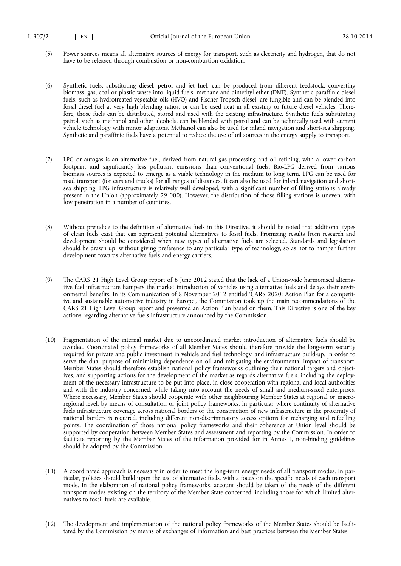- (5) Power sources means all alternative sources of energy for transport, such as electricity and hydrogen, that do not have to be released through combustion or non-combustion oxidation.
- (6) Synthetic fuels, substituting diesel, petrol and jet fuel, can be produced from different feedstock, converting biomass, gas, coal or plastic waste into liquid fuels, methane and dimethyl ether (DME). Synthetic paraffinic diesel fuels, such as hydrotreated vegetable oils (HVO) and Fischer-Tropsch diesel, are fungible and can be blended into fossil diesel fuel at very high blending ratios, or can be used neat in all existing or future diesel vehicles. Therefore, those fuels can be distributed, stored and used with the existing infrastructure. Synthetic fuels substituting petrol, such as methanol and other alcohols, can be blended with petrol and can be technically used with current vehicle technology with minor adaptions. Methanol can also be used for inland navigation and short-sea shipping. Synthetic and paraffinic fuels have a potential to reduce the use of oil sources in the energy supply to transport.
- (7) LPG or autogas is an alternative fuel, derived from natural gas processing and oil refining, with a lower carbon footprint and significantly less pollutant emissions than conventional fuels. Bio-LPG derived from various biomass sources is expected to emerge as a viable technology in the medium to long term. LPG can be used for road transport (for cars and trucks) for all ranges of distances. It can also be used for inland navigation and shortsea shipping. LPG infrastructure is relatively well developed, with a significant number of filling stations already present in the Union (approximately 29 000). However, the distribution of those filling stations is uneven, with low penetration in a number of countries.
- (8) Without prejudice to the definition of alternative fuels in this Directive, it should be noted that additional types of clean fuels exist that can represent potential alternatives to fossil fuels. Promising results from research and development should be considered when new types of alternative fuels are selected. Standards and legislation should be drawn up, without giving preference to any particular type of technology, so as not to hamper further development towards alternative fuels and energy carriers.
- (9) The CARS 21 High Level Group report of 6 June 2012 stated that the lack of a Union-wide harmonised alternative fuel infrastructure hampers the market introduction of vehicles using alternative fuels and delays their environmental benefits. In its Communication of 8 November 2012 entitled 'CARS 2020: Action Plan for a competitive and sustainable automotive industry in Europe', the Commission took up the main recommendations of the CARS 21 High Level Group report and presented an Action Plan based on them. This Directive is one of the key actions regarding alternative fuels infrastructure announced by the Commission.
- (10) Fragmentation of the internal market due to uncoordinated market introduction of alternative fuels should be avoided. Coordinated policy frameworks of all Member States should therefore provide the long-term security required for private and public investment in vehicle and fuel technology, and infrastructure build-up, in order to serve the dual purpose of minimising dependence on oil and mitigating the environmental impact of transport. Member States should therefore establish national policy frameworks outlining their national targets and objectives, and supporting actions for the development of the market as regards alternative fuels, including the deployment of the necessary infrastructure to be put into place, in close cooperation with regional and local authorities and with the industry concerned, while taking into account the needs of small and medium-sized enterprises. Where necessary, Member States should cooperate with other neighbouring Member States at regional or macroregional level, by means of consultation or joint policy frameworks, in particular where continuity of alternative fuels infrastructure coverage across national borders or the construction of new infrastructure in the proximity of national borders is required, including different non-discriminatory access options for recharging and refuelling points. The coordination of those national policy frameworks and their coherence at Union level should be supported by cooperation between Member States and assessment and reporting by the Commission. In order to facilitate reporting by the Member States of the information provided for in Annex I, non-binding guidelines should be adopted by the Commission.
- (11) A coordinated approach is necessary in order to meet the long-term energy needs of all transport modes. In particular, policies should build upon the use of alternative fuels, with a focus on the specific needs of each transport mode. In the elaboration of national policy frameworks, account should be taken of the needs of the different transport modes existing on the territory of the Member State concerned, including those for which limited alternatives to fossil fuels are available.
- (12) The development and implementation of the national policy frameworks of the Member States should be facilitated by the Commission by means of exchanges of information and best practices between the Member States.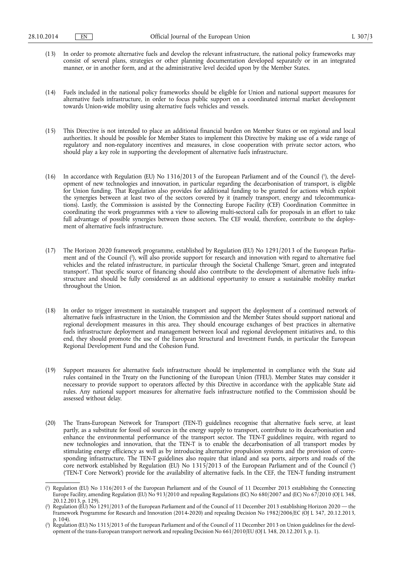- (13) In order to promote alternative fuels and develop the relevant infrastructure, the national policy frameworks may consist of several plans, strategies or other planning documentation developed separately or in an integrated manner, or in another form, and at the administrative level decided upon by the Member States.
- (14) Fuels included in the national policy frameworks should be eligible for Union and national support measures for alternative fuels infrastructure, in order to focus public support on a coordinated internal market development towards Union-wide mobility using alternative fuels vehicles and vessels.
- (15) This Directive is not intended to place an additional financial burden on Member States or on regional and local authorities. It should be possible for Member States to implement this Directive by making use of a wide range of regulatory and non-regulatory incentives and measures, in close cooperation with private sector actors, who should play a key role in supporting the development of alternative fuels infrastructure.
- (16) In accordance with Regulation (EU) No 1316/2013 of the European Parliament and of the Council ( 1 ), the development of new technologies and innovation, in particular regarding the decarbonisation of transport, is eligible for Union funding. That Regulation also provides for additional funding to be granted for actions which exploit the synergies between at least two of the sectors covered by it (namely transport, energy and telecommunications). Lastly, the Commission is assisted by the Connecting Europe Facility (CEF) Coordination Committee in coordinating the work programmes with a view to allowing multi-sectoral calls for proposals in an effort to take full advantage of possible synergies between those sectors. The CEF would, therefore, contribute to the deployment of alternative fuels infrastructure.
- (17) The Horizon 2020 framework programme, established by Regulation (EU) No 1291/2013 of the European Parliament and of the Council ( 2 ), will also provide support for research and innovation with regard to alternative fuel vehicles and the related infrastructure, in particular through the Societal Challenge 'Smart, green and integrated transport'. That specific source of financing should also contribute to the development of alternative fuels infrastructure and should be fully considered as an additional opportunity to ensure a sustainable mobility market throughout the Union.
- (18) In order to trigger investment in sustainable transport and support the deployment of a continued network of alternative fuels infrastructure in the Union, the Commission and the Member States should support national and regional development measures in this area. They should encourage exchanges of best practices in alternative fuels infrastructure deployment and management between local and regional development initiatives and, to this end, they should promote the use of the European Structural and Investment Funds, in particular the European Regional Development Fund and the Cohesion Fund.
- (19) Support measures for alternative fuels infrastructure should be implemented in compliance with the State aid rules contained in the Treaty on the Functioning of the European Union (TFEU). Member States may consider it necessary to provide support to operators affected by this Directive in accordance with the applicable State aid rules. Any national support measures for alternative fuels infrastructure notified to the Commission should be assessed without delay.
- (20) The Trans-European Network for Transport (TEN-T) guidelines recognise that alternative fuels serve, at least partly, as a substitute for fossil oil sources in the energy supply to transport, contribute to its decarbonisation and enhance the environmental performance of the transport sector. The TEN-T guidelines require, with regard to new technologies and innovation, that the TEN-T is to enable the decarbonisation of all transport modes by stimulating energy efficiency as well as by introducing alternative propulsion systems and the provision of corresponding infrastructure. The TEN-T guidelines also require that inland and sea ports, airports and roads of the core network established by Regulation (EU) No 1315/2013 of the European Parliament and of the Council ( 3 ) ('TEN-T Core Network') provide for the availability of alternative fuels. In the CEF, the TEN-T funding instrument

<sup>(</sup> 1 ) Regulation (EU) No 1316/2013 of the European Parliament and of the Council of 11 December 2013 establishing the Connecting Europe Facility, amending Regulation (EU) No 913/2010 and repealing Regulations (EC) No 680/2007 and (EC) No 67/2010 (OJ L 348, 20.12.2013, p. 129).

<sup>(</sup> 2 ) Regulation (EU) No 1291/2013 of the European Parliament and of the Council of 11 December 2013 establishing Horizon 2020 — the Framework Programme for Research and Innovation (2014-2020) and repealing Decision No 1982/2006/EC (OJ L 347, 20.12.2013, p. 104).

<sup>(</sup> 3 ) Regulation (EU) No 1315/2013 of the European Parliament and of the Council of 11 December 2013 on Union guidelines for the development of the trans-European transport network and repealing Decision No 661/2010/EU (OJ L 348, 20.12.2013, p. 1).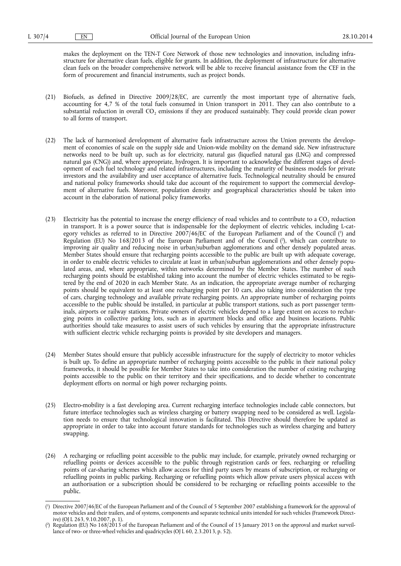makes the deployment on the TEN-T Core Network of those new technologies and innovation, including infrastructure for alternative clean fuels, eligible for grants. In addition, the deployment of infrastructure for alternative clean fuels on the broader comprehensive network will be able to receive financial assistance from the CEF in the form of procurement and financial instruments, such as project bonds.

- (21) Biofuels, as defined in Directive 2009/28/EC, are currently the most important type of alternative fuels, accounting for 4,7 % of the total fuels consumed in Union transport in 2011. They can also contribute to a substantial reduction in overall CO<sub>2</sub> emissions if they are produced sustainably. They could provide clean power to all forms of transport.
- (22) The lack of harmonised development of alternative fuels infrastructure across the Union prevents the development of economies of scale on the supply side and Union-wide mobility on the demand side. New infrastructure networks need to be built up, such as for electricity, natural gas (liquefied natural gas (LNG) and compressed natural gas (CNG)) and, where appropriate, hydrogen. It is important to acknowledge the different stages of development of each fuel technology and related infrastructures, including the maturity of business models for private investors and the availability and user acceptance of alternative fuels. Technological neutrality should be ensured and national policy frameworks should take due account of the requirement to support the commercial development of alternative fuels. Moreover, population density and geographical characteristics should be taken into account in the elaboration of national policy frameworks.
- (23) Electricity has the potential to increase the energy efficiency of road vehicles and to contribute to a  $CO<sub>2</sub>$  reduction in transport. It is a power source that is indispensable for the deployment of electric vehicles, including L-category vehicles as referred to in Directive 2007/46/EC of the European Parliament and of the Council ( 1 ) and Regulation (EU) No 168/2013 of the European Parliament and of the Council ( 2 ), which can contribute to improving air quality and reducing noise in urban/suburban agglomerations and other densely populated areas. Member States should ensure that recharging points accessible to the public are built up with adequate coverage, in order to enable electric vehicles to circulate at least in urban/suburban agglomerations and other densely populated areas, and, where appropriate, within networks determined by the Member States. The number of such recharging points should be established taking into account the number of electric vehicles estimated to be registered by the end of 2020 in each Member State. As an indication, the appropriate average number of recharging points should be equivalent to at least one recharging point per 10 cars, also taking into consideration the type of cars, charging technology and available private recharging points. An appropriate number of recharging points accessible to the public should be installed, in particular at public transport stations, such as port passenger terminals, airports or railway stations. Private owners of electric vehicles depend to a large extent on access to recharging points in collective parking lots, such as in apartment blocks and office and business locations. Public authorities should take measures to assist users of such vehicles by ensuring that the appropriate infrastructure with sufficient electric vehicle recharging points is provided by site developers and managers.
- (24) Member States should ensure that publicly accessible infrastructure for the supply of electricity to motor vehicles is built up. To define an appropriate number of recharging points accessible to the public in their national policy frameworks, it should be possible for Member States to take into consideration the number of existing recharging points accessible to the public on their territory and their specifications, and to decide whether to concentrate deployment efforts on normal or high power recharging points.
- (25) Electro-mobility is a fast developing area. Current recharging interface technologies include cable connectors, but future interface technologies such as wireless charging or battery swapping need to be considered as well. Legislation needs to ensure that technological innovation is facilitated. This Directive should therefore be updated as appropriate in order to take into account future standards for technologies such as wireless charging and battery swapping.
- (26) A recharging or refuelling point accessible to the public may include, for example, privately owned recharging or refuelling points or devices accessible to the public through registration cards or fees, recharging or refuelling points of car-sharing schemes which allow access for third party users by means of subscription, or recharging or refuelling points in public parking. Recharging or refuelling points which allow private users physical access with an authorisation or a subscription should be considered to be recharging or refuelling points accessible to the public.

<sup>(</sup> 1 ) Directive 2007/46/EC of the European Parliament and of the Council of 5 September 2007 establishing a framework for the approval of motor vehicles and their trailers, and of systems, components and separate technical units intended for such vehicles (Framework Directive) (OJ L 263, 9.10.2007, p. 1).

<sup>(</sup> 2 Regulation (EU) No 168/2013 of the European Parliament and of the Council of 15 January 2013 on the approval and market surveillance of two- or three-wheel vehicles and quadricycles (OJ L 60, 2.3.2013, p. 52).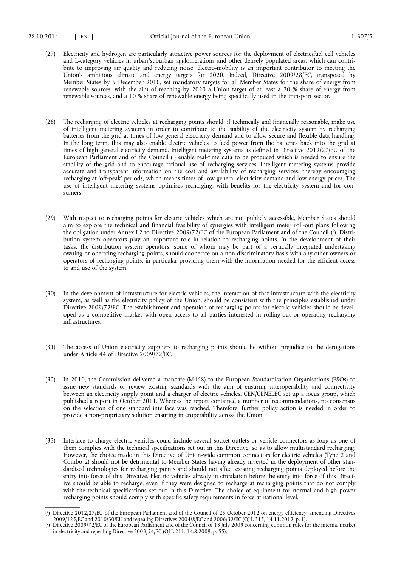- (27) Electricity and hydrogen are particularly attractive power sources for the deployment of electric/fuel cell vehicles and L-category vehicles in urban/suburban agglomerations and other densely populated areas, which can contribute to improving air quality and reducing noise. Electro-mobility is an important contributor to meeting the Union's ambitious climate and energy targets for 2020. Indeed, Directive 2009/28/EC, transposed by Member States by 5 December 2010, set mandatory targets for all Member States for the share of energy from renewable sources, with the aim of reaching by 2020 a Union target of at least a 20 % share of energy from renewable sources, and a 10 % share of renewable energy being specifically used in the transport sector.
- (28) The recharging of electric vehicles at recharging points should, if technically and financially reasonable, make use of intelligent metering systems in order to contribute to the stability of the electricity system by recharging batteries from the grid at times of low general electricity demand and to allow secure and flexible data handling. In the long term, this may also enable electric vehicles to feed power from the batteries back into the grid at times of high general electricity demand. Intelligent metering systems as defined in Directive 2012/27/EU of the European Parliament and of the Council ( 1 ) enable real-time data to be produced which is needed to ensure the stability of the grid and to encourage rational use of recharging services. Intelligent metering systems provide accurate and transparent information on the cost and availability of recharging services, thereby encouraging recharging at 'off-peak' periods, which means times of low general electricity demand and low energy prices. The use of intelligent metering systems optimises recharging, with benefits for the electricity system and for consumers.
- (29) With respect to recharging points for electric vehicles which are not publicly accessible, Member States should aim to explore the technical and financial feasibility of synergies with intelligent meter roll-out plans following the obligation under Annex I.2 to Directive 2009/72/EC of the European Parliament and of the Council (²). Distribution system operators play an important role in relation to recharging points. In the development of their tasks, the distribution system operators, some of whom may be part of a vertically integrated undertaking owning or operating recharging points, should cooperate on a non-discriminatory basis with any other owners or operators of recharging points, in particular providing them with the information needed for the efficient access to and use of the system.
- (30) In the development of infrastructure for electric vehicles, the interaction of that infrastructure with the electricity system, as well as the electricity policy of the Union, should be consistent with the principles established under Directive 2009/72/EC. The establishment and operation of recharging points for electric vehicles should be developed as a competitive market with open access to all parties interested in rolling-out or operating recharging infrastructures.
- (31) The access of Union electricity suppliers to recharging points should be without prejudice to the derogations under Article 44 of Directive 2009/72/EC.
- (32) In 2010, the Commission delivered a mandate (M468) to the European Standardisation Organisations (ESOs) to issue new standards or review existing standards with the aim of ensuring interoperability and connectivity between an electricity supply point and a charger of electric vehicles. CEN/CENELEC set up a focus group, which published a report in October 2011. Whereas the report contained a number of recommendations, no consensus on the selection of one standard interface was reached. Therefore, further policy action is needed in order to provide a non-proprietary solution ensuring interoperability across the Union.
- (33) Interface to charge electric vehicles could include several socket outlets or vehicle connectors as long as one of them complies with the technical specifications set out in this Directive, so as to allow multistandard recharging. However, the choice made in this Directive of Union-wide common connectors for electric vehicles (Type 2 and Combo 2) should not be detrimental to Member States having already invested in the deployment of other standardised technologies for recharging points and should not affect existing recharging points deployed before the entry into force of this Directive. Electric vehicles already in circulation before the entry into force of this Directive should be able to recharge, even if they were designed to recharge at recharging points that do not comply with the technical specifications set out in this Directive. The choice of equipment for normal and high power recharging points should comply with specific safety requirements in force at national level.

<sup>(</sup> 1 ) Directive 2012/27/EU of the European Parliament and of the Council of 25 October 2012 on energy efficiency, amending Directives 2009/125/EC and 2010/30/EU and repealing Directives 2004/8/EC and 2006/32/EC (OJ L 315, 14.11.2012, p. 1).

<sup>(</sup> 2 ) Directive 2009/72/EC of the European Parliament and of the Council of 13 July 2009 concerning common rules for the internal market in electricity and repealing Directive 2003/54/EC (OJ L 211, 14.8.2009, p. 55).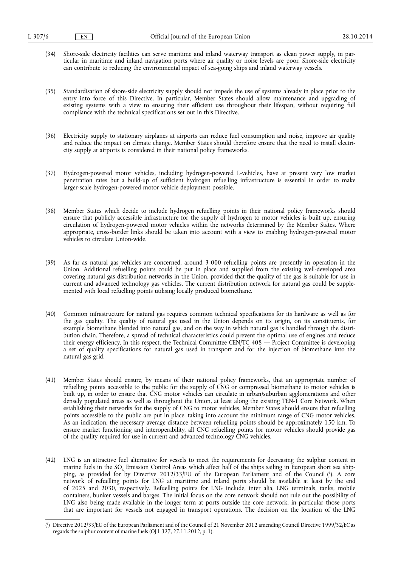- (34) Shore-side electricity facilities can serve maritime and inland waterway transport as clean power supply, in particular in maritime and inland navigation ports where air quality or noise levels are poor. Shore-side electricity can contribute to reducing the environmental impact of sea-going ships and inland waterway vessels.
- (35) Standardisation of shore-side electricity supply should not impede the use of systems already in place prior to the entry into force of this Directive. In particular, Member States should allow maintenance and upgrading of existing systems with a view to ensuring their efficient use throughout their lifespan, without requiring full compliance with the technical specifications set out in this Directive.
- (36) Electricity supply to stationary airplanes at airports can reduce fuel consumption and noise, improve air quality and reduce the impact on climate change. Member States should therefore ensure that the need to install electricity supply at airports is considered in their national policy frameworks.
- (37) Hydrogen-powered motor vehicles, including hydrogen-powered L-vehicles, have at present very low market penetration rates but a build-up of sufficient hydrogen refuelling infrastructure is essential in order to make larger-scale hydrogen-powered motor vehicle deployment possible.
- (38) Member States which decide to include hydrogen refuelling points in their national policy frameworks should ensure that publicly accessible infrastructure for the supply of hydrogen to motor vehicles is built up, ensuring circulation of hydrogen-powered motor vehicles within the networks determined by the Member States. Where appropriate, cross-border links should be taken into account with a view to enabling hydrogen-powered motor vehicles to circulate Union-wide.
- (39) As far as natural gas vehicles are concerned, around 3 000 refuelling points are presently in operation in the Union. Additional refuelling points could be put in place and supplied from the existing well-developed area covering natural gas distribution networks in the Union, provided that the quality of the gas is suitable for use in current and advanced technology gas vehicles. The current distribution network for natural gas could be supplemented with local refuelling points utilising locally produced biomethane.
- (40) Common infrastructure for natural gas requires common technical specifications for its hardware as well as for the gas quality. The quality of natural gas used in the Union depends on its origin, on its constituents, for example biomethane blended into natural gas, and on the way in which natural gas is handled through the distribution chain. Therefore, a spread of technical characteristics could prevent the optimal use of engines and reduce their energy efficiency. In this respect, the Technical Committee CEN/TC 408 — Project Committee is developing a set of quality specifications for natural gas used in transport and for the injection of biomethane into the natural gas grid.
- (41) Member States should ensure, by means of their national policy frameworks, that an appropriate number of refuelling points accessible to the public for the supply of CNG or compressed biomethane to motor vehicles is built up, in order to ensure that CNG motor vehicles can circulate in urban/suburban agglomerations and other densely populated areas as well as throughout the Union, at least along the existing TEN-T Core Network. When establishing their networks for the supply of CNG to motor vehicles, Member States should ensure that refuelling points accessible to the public are put in place, taking into account the minimum range of CNG motor vehicles. As an indication, the necessary average distance between refuelling points should be approximately 150 km. To ensure market functioning and interoperability, all CNG refuelling points for motor vehicles should provide gas of the quality required for use in current and advanced technology CNG vehicles.
- (42) LNG is an attractive fuel alternative for vessels to meet the requirements for decreasing the sulphur content in marine fuels in the SO<sub>y</sub> Emission Control Areas which affect half of the ships sailing in European short sea shipping, as provided for by Directive 2012/33/EU of the European Parliament and of the Council ( 1 ). A core network of refuelling points for LNG at maritime and inland ports should be available at least by the end of 2025 and 2030, respectively. Refuelling points for LNG include, inter alia, LNG terminals, tanks, mobile containers, bunker vessels and barges. The initial focus on the core network should not rule out the possibility of LNG also being made available in the longer term at ports outside the core network, in particular those ports that are important for vessels not engaged in transport operations. The decision on the location of the LNG

<sup>(</sup> 1 ) Directive 2012/33/EU of the European Parliament and of the Council of 21 November 2012 amending Council Directive 1999/32/EC as regards the sulphur content of marine fuels (OJ L 327, 27.11.2012, p. 1).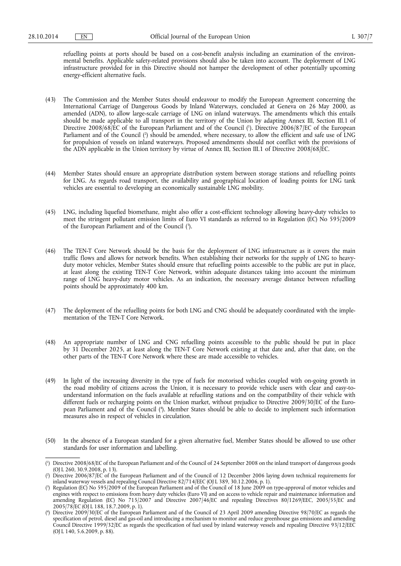refuelling points at ports should be based on a cost-benefit analysis including an examination of the environmental benefits. Applicable safety-related provisions should also be taken into account. The deployment of LNG infrastructure provided for in this Directive should not hamper the development of other potentially upcoming energy-efficient alternative fuels.

- (43) The Commission and the Member States should endeavour to modify the European Agreement concerning the International Carriage of Dangerous Goods by Inland Waterways, concluded at Geneva on 26 May 2000, as amended (ADN), to allow large-scale carriage of LNG on inland waterways. The amendments which this entails should be made applicable to all transport in the territory of the Union by adapting Annex III, Section III.1 of Directive 2008/68/EC of the European Parliament and of the Council ( 1 ). Directive 2006/87/EC of the European Parliament and of the Council ( 2 ) should be amended, where necessary, to allow the efficient and safe use of LNG for propulsion of vessels on inland waterways. Proposed amendments should not conflict with the provisions of the ADN applicable in the Union territory by virtue of Annex III, Section III.1 of Directive 2008/68/EC.
- (44) Member States should ensure an appropriate distribution system between storage stations and refuelling points for LNG. As regards road transport, the availability and geographical location of loading points for LNG tank vehicles are essential to developing an economically sustainable LNG mobility.
- (45) LNG, including liquefied biomethane, might also offer a cost-efficient technology allowing heavy-duty vehicles to meet the stringent pollutant emission limits of Euro VI standards as referred to in Regulation (EC) No 595/2009 of the European Parliament and of the Council ( 3 ).
- (46) The TEN-T Core Network should be the basis for the deployment of LNG infrastructure as it covers the main traffic flows and allows for network benefits. When establishing their networks for the supply of LNG to heavyduty motor vehicles, Member States should ensure that refuelling points accessible to the public are put in place, at least along the existing TEN-T Core Network, within adequate distances taking into account the minimum range of LNG heavy-duty motor vehicles. As an indication, the necessary average distance between refuelling points should be approximately 400 km.
- (47) The deployment of the refuelling points for both LNG and CNG should be adequately coordinated with the implementation of the TEN-T Core Network.
- (48) An appropriate number of LNG and CNG refuelling points accessible to the public should be put in place by 31 December 2025, at least along the TEN-T Core Network existing at that date and, after that date, on the other parts of the TEN-T Core Network where these are made accessible to vehicles.
- (49) In light of the increasing diversity in the type of fuels for motorised vehicles coupled with on-going growth in the road mobility of citizens across the Union, it is necessary to provide vehicle users with clear and easy-tounderstand information on the fuels available at refuelling stations and on the compatibility of their vehicle with different fuels or recharging points on the Union market, without prejudice to Directive 2009/30/EC of the European Parliament and of the Council ( 4 ). Member States should be able to decide to implement such information measures also in respect of vehicles in circulation.
- (50) In the absence of a European standard for a given alternative fuel, Member States should be allowed to use other standards for user information and labelling.

<sup>(</sup> 1 ) Directive 2008/68/EC of the European Parliament and of the Council of 24 September 2008 on the inland transport of dangerous goods (OJ L 260, 30.9.2008, p. 13).

 $(2)$ ) Directive 2006/87/EC of the European Parliament and of the Council of 12 December 2006 laying down technical requirements for inland waterway vessels and repealing Council Directive 82/714/EEC (OJ L 389, 30.12.2006, p. 1).

<sup>(</sup> 3 ) Regulation (EC) No 595/2009 of the European Parliament and of the Council of 18 June 2009 on type-approval of motor vehicles and engines with respect to emissions from heavy duty vehicles (Euro VI) and on access to vehicle repair and maintenance information and amending Regulation (EC) No 715/2007 and Directive 2007/46/EC and repealing Directives 80/1269/EEC, 2005/55/EC and 2005/78/EC (OJ L 188, 18.7.2009, p. 1).

<sup>(</sup> 4 ) Directive 2009/30/EC of the European Parliament and of the Council of 23 April 2009 amending Directive 98/70/EC as regards the specification of petrol, diesel and gas-oil and introducing a mechanism to monitor and reduce greenhouse gas emissions and amending Council Directive 1999/32/EC as regards the specification of fuel used by inland waterway vessels and repealing Directive 93/12/EEC (OJ L 140, 5.6.2009, p. 88).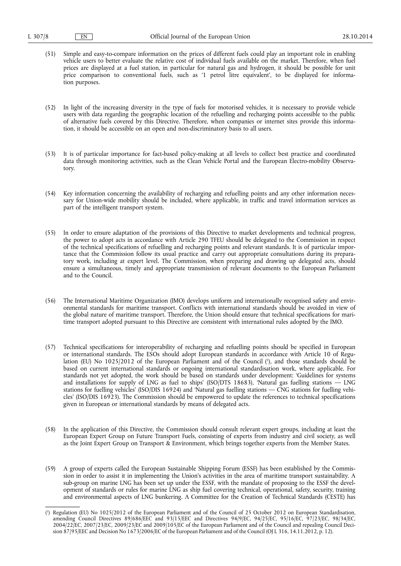(51) Simple and easy-to-compare information on the prices of different fuels could play an important role in enabling vehicle users to better evaluate the relative cost of individual fuels available on the market. Therefore, when fuel prices are displayed at a fuel station, in particular for natural gas and hydrogen, it should be possible for unit price comparison to conventional fuels, such as '1 petrol litre equivalent', to be displayed for information purposes.

(52) In light of the increasing diversity in the type of fuels for motorised vehicles, it is necessary to provide vehicle users with data regarding the geographic location of the refuelling and recharging points accessible to the public of alternative fuels covered by this Directive. Therefore, when companies or internet sites provide this information, it should be accessible on an open and non-discriminatory basis to all users.

- (53) It is of particular importance for fact-based policy-making at all levels to collect best practice and coordinated data through monitoring activities, such as the Clean Vehicle Portal and the European Electro-mobility Observatory.
- (54) Key information concerning the availability of recharging and refuelling points and any other information necessary for Union-wide mobility should be included, where applicable, in traffic and travel information services as part of the intelligent transport system.
- (55) In order to ensure adaptation of the provisions of this Directive to market developments and technical progress, the power to adopt acts in accordance with Article 290 TFEU should be delegated to the Commission in respect of the technical specifications of refuelling and recharging points and relevant standards. It is of particular importance that the Commission follow its usual practice and carry out appropriate consultations during its preparatory work, including at expert level. The Commission, when preparing and drawing up delegated acts, should ensure a simultaneous, timely and appropriate transmission of relevant documents to the European Parliament and to the Council.
- (56) The International Maritime Organization (IMO) develops uniform and internationally recognised safety and environmental standards for maritime transport. Conflicts with international standards should be avoided in view of the global nature of maritime transport. Therefore, the Union should ensure that technical specifications for maritime transport adopted pursuant to this Directive are consistent with international rules adopted by the IMO.
- (57) Technical specifications for interoperability of recharging and refuelling points should be specified in European or international standards. The ESOs should adopt European standards in accordance with Article 10 of Regulation (EU) No 1025/2012 of the European Parliament and of the Council ( 1 ), and those standards should be based on current international standards or ongoing international standardisation work, where applicable. For standards not yet adopted, the work should be based on standards under development: 'Guidelines for systems and installations for supply of LNG as fuel to ships' (ISO/DTS 18683), 'Natural gas fuelling stations  $-$  LNG stations for fuelling vehicles' (ISO/DIS 16924) and 'Natural gas fuelling stations — CNG stations for fuelling vehicles' (ISO/DIS 16923). The Commission should be empowered to update the references to technical specifications given in European or international standards by means of delegated acts.
- (58) In the application of this Directive, the Commission should consult relevant expert groups, including at least the European Expert Group on Future Transport Fuels, consisting of experts from industry and civil society, as well as the Joint Expert Group on Transport & Environment, which brings together experts from the Member States.
- (59) A group of experts called the European Sustainable Shipping Forum (ESSF) has been established by the Commission in order to assist it in implementing the Union's activities in the area of maritime transport sustainability. A sub-group on marine LNG has been set up under the ESSF, with the mandate of proposing to the ESSF the development of standards or rules for marine LNG as ship fuel covering technical, operational, safety, security, training and environmental aspects of LNG bunkering. A Committee for the Creation of Technical Standards (CESTE) has

<sup>(</sup> 1 ) Regulation (EU) No 1025/2012 of the European Parliament and of the Council of 25 October 2012 on European Standardisation, amending Council Directives 89/686/EEC and 93/15/EEC and Directives 94/9/EC, 94/25/EC, 95/16/EC, 97/23/EC, 98/34/EC, 2004/22/EC, 2007/23/EC, 2009/23/EC and 2009/105/EC of the European Parliament and of the Council and repealing Council Decision 87/95/EEC and Decision No 1673/2006/EC of the European Parliament and of the Council (OJ L 316, 14.11.2012, p. 12).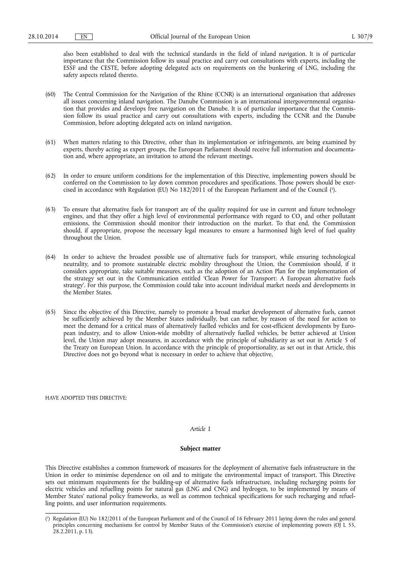also been established to deal with the technical standards in the field of inland navigation. It is of particular importance that the Commission follow its usual practice and carry out consultations with experts, including the ESSF and the CESTE, before adopting delegated acts on requirements on the bunkering of LNG, including the safety aspects related thereto.

- (60) The Central Commission for the Navigation of the Rhine (CCNR) is an international organisation that addresses all issues concerning inland navigation. The Danube Commission is an international intergovernmental organisation that provides and develops free navigation on the Danube. It is of particular importance that the Commission follow its usual practice and carry out consultations with experts, including the CCNR and the Danube Commission, before adopting delegated acts on inland navigation.
- (61) When matters relating to this Directive, other than its implementation or infringements, are being examined by experts, thereby acting as expert groups, the European Parliament should receive full information and documentation and, where appropriate, an invitation to attend the relevant meetings.
- (62) In order to ensure uniform conditions for the implementation of this Directive, implementing powers should be conferred on the Commission to lay down common procedures and specifications. Those powers should be exercised in accordance with Regulation (EU) No 182/2011 of the European Parliament and of the Council ( 1 ).
- (63) To ensure that alternative fuels for transport are of the quality required for use in current and future technology engines, and that they offer a high level of environmental performance with regard to  $CO<sub>2</sub>$  and other pollutant emissions, the Commission should monitor their introduction on the market. To that end, the Commission should, if appropriate, propose the necessary legal measures to ensure a harmonised high level of fuel quality throughout the Union.
- (64) In order to achieve the broadest possible use of alternative fuels for transport, while ensuring technological neutrality, and to promote sustainable electric mobility throughout the Union, the Commission should, if it considers appropriate, take suitable measures, such as the adoption of an Action Plan for the implementation of the strategy set out in the Communication entitled 'Clean Power for Transport: A European alternative fuels strategy'. For this purpose, the Commission could take into account individual market needs and developments in the Member States.
- (65) Since the objective of this Directive, namely to promote a broad market development of alternative fuels, cannot be sufficiently achieved by the Member States individually, but can rather, by reason of the need for action to meet the demand for a critical mass of alternatively fuelled vehicles and for cost-efficient developments by European industry, and to allow Union-wide mobility of alternatively fuelled vehicles, be better achieved at Union level, the Union may adopt measures, in accordance with the principle of subsidiarity as set out in Article 5 of the Treaty on European Union. In accordance with the principle of proportionality, as set out in that Article, this Directive does not go beyond what is necessary in order to achieve that objective,

HAVE ADOPTED THIS DIRECTIVE:

#### *Article 1*

#### **Subject matter**

This Directive establishes a common framework of measures for the deployment of alternative fuels infrastructure in the Union in order to minimise dependence on oil and to mitigate the environmental impact of transport. This Directive sets out minimum requirements for the building-up of alternative fuels infrastructure, including recharging points for electric vehicles and refuelling points for natural gas (LNG and CNG) and hydrogen, to be implemented by means of Member States' national policy frameworks, as well as common technical specifications for such recharging and refuelling points, and user information requirements.

<sup>(</sup> 1 ) Regulation (EU) No 182/2011 of the European Parliament and of the Council of 16 February 2011 laying down the rules and general principles concerning mechanisms for control by Member States of the Commission's exercise of implementing powers (OJ L 55, 28.2.2011, p. 13).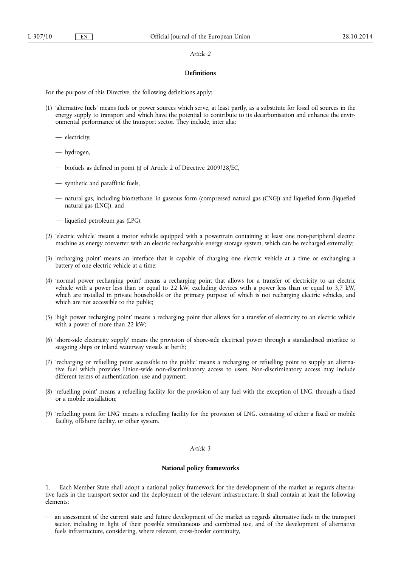## *Article 2*

#### **Definitions**

For the purpose of this Directive, the following definitions apply:

- (1) 'alternative fuels' means fuels or power sources which serve, at least partly, as a substitute for fossil oil sources in the energy supply to transport and which have the potential to contribute to its decarbonisation and enhance the environmental performance of the transport sector. They include, inter alia:
	- electricity,
	- hydrogen,
	- biofuels as defined in point (i) of Article 2 of Directive 2009/28/EC,
	- synthetic and paraffinic fuels,
	- natural gas, including biomethane, in gaseous form (compressed natural gas (CNG)) and liquefied form (liquefied natural gas (LNG)), and
	- liquefied petroleum gas (LPG);
- (2) 'electric vehicle' means a motor vehicle equipped with a powertrain containing at least one non-peripheral electric machine as energy converter with an electric rechargeable energy storage system, which can be recharged externally;
- (3) 'recharging point' means an interface that is capable of charging one electric vehicle at a time or exchanging a battery of one electric vehicle at a time;
- (4) 'normal power recharging point' means a recharging point that allows for a transfer of electricity to an electric vehicle with a power less than or equal to 22 kW, excluding devices with a power less than or equal to 3,7 kW, which are installed in private households or the primary purpose of which is not recharging electric vehicles, and which are not accessible to the public;
- (5) 'high power recharging point' means a recharging point that allows for a transfer of electricity to an electric vehicle with a power of more than 22 kW;
- (6) 'shore-side electricity supply' means the provision of shore-side electrical power through a standardised interface to seagoing ships or inland waterway vessels at berth;
- (7) 'recharging or refuelling point accessible to the public' means a recharging or refuelling point to supply an alternative fuel which provides Union-wide non-discriminatory access to users. Non-discriminatory access may include different terms of authentication, use and payment;
- (8) 'refuelling point' means a refuelling facility for the provision of any fuel with the exception of LNG, through a fixed or a mobile installation;
- (9) 'refuelling point for LNG' means a refuelling facility for the provision of LNG, consisting of either a fixed or mobile facility, offshore facility, or other system.

#### *Article 3*

## **National policy frameworks**

1. Each Member State shall adopt a national policy framework for the development of the market as regards alternative fuels in the transport sector and the deployment of the relevant infrastructure. It shall contain at least the following elements:

— an assessment of the current state and future development of the market as regards alternative fuels in the transport sector, including in light of their possible simultaneous and combined use, and of the development of alternative fuels infrastructure, considering, where relevant, cross-border continuity,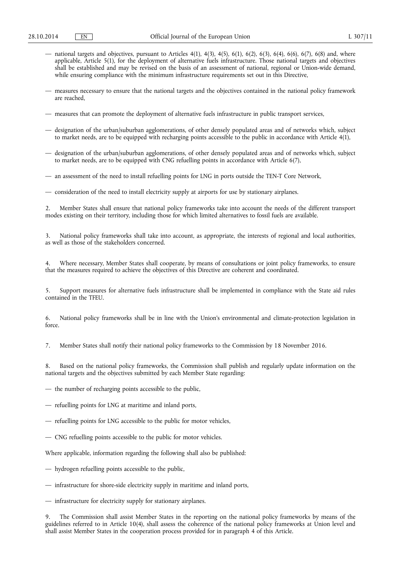- national targets and objectives, pursuant to Articles  $4(1)$ ,  $4(3)$ ,  $4(5)$ ,  $6(1)$ ,  $6(2)$ ,  $6(3)$ ,  $6(4)$ ,  $6(6)$ ,  $6(7)$ ,  $6(8)$  and, where applicable, Article 5(1), for the deployment of alternative fuels infrastructure. Those national targets and objectives shall be established and may be revised on the basis of an assessment of national, regional or Union-wide demand, while ensuring compliance with the minimum infrastructure requirements set out in this Directive,
- measures necessary to ensure that the national targets and the objectives contained in the national policy framework are reached,
- measures that can promote the deployment of alternative fuels infrastructure in public transport services,
- designation of the urban/suburban agglomerations, of other densely populated areas and of networks which, subject to market needs, are to be equipped with recharging points accessible to the public in accordance with Article 4(1),
- designation of the urban/suburban agglomerations, of other densely populated areas and of networks which, subject to market needs, are to be equipped with CNG refuelling points in accordance with Article 6(7),
- an assessment of the need to install refuelling points for LNG in ports outside the TEN-T Core Network,
- consideration of the need to install electricity supply at airports for use by stationary airplanes.

2. Member States shall ensure that national policy frameworks take into account the needs of the different transport modes existing on their territory, including those for which limited alternatives to fossil fuels are available.

3. National policy frameworks shall take into account, as appropriate, the interests of regional and local authorities, as well as those of the stakeholders concerned.

4. Where necessary, Member States shall cooperate, by means of consultations or joint policy frameworks, to ensure that the measures required to achieve the objectives of this Directive are coherent and coordinated.

5. Support measures for alternative fuels infrastructure shall be implemented in compliance with the State aid rules contained in the TFEU.

6. National policy frameworks shall be in line with the Union's environmental and climate-protection legislation in force.

7. Member States shall notify their national policy frameworks to the Commission by 18 November 2016.

8. Based on the national policy frameworks, the Commission shall publish and regularly update information on the national targets and the objectives submitted by each Member State regarding:

- the number of recharging points accessible to the public,
- refuelling points for LNG at maritime and inland ports,
- refuelling points for LNG accessible to the public for motor vehicles,
- CNG refuelling points accessible to the public for motor vehicles.

Where applicable, information regarding the following shall also be published:

- hydrogen refuelling points accessible to the public,
- infrastructure for shore-side electricity supply in maritime and inland ports,
- infrastructure for electricity supply for stationary airplanes.

9. The Commission shall assist Member States in the reporting on the national policy frameworks by means of the guidelines referred to in Article 10(4), shall assess the coherence of the national policy frameworks at Union level and shall assist Member States in the cooperation process provided for in paragraph 4 of this Article.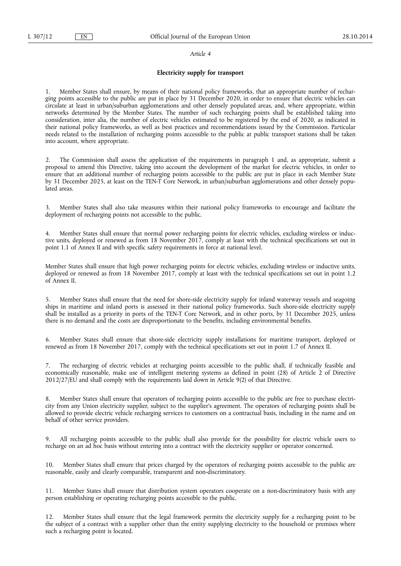#### *Article 4*

## **Electricity supply for transport**

1. Member States shall ensure, by means of their national policy frameworks, that an appropriate number of recharging points accessible to the public are put in place by 31 December 2020, in order to ensure that electric vehicles can circulate at least in urban/suburban agglomerations and other densely populated areas, and, where appropriate, within networks determined by the Member States. The number of such recharging points shall be established taking into consideration, inter alia, the number of electric vehicles estimated to be registered by the end of 2020, as indicated in their national policy frameworks, as well as best practices and recommendations issued by the Commission. Particular needs related to the installation of recharging points accessible to the public at public transport stations shall be taken into account, where appropriate.

2. The Commission shall assess the application of the requirements in paragraph 1 and, as appropriate, submit a proposal to amend this Directive, taking into account the development of the market for electric vehicles, in order to ensure that an additional number of recharging points accessible to the public are put in place in each Member State by 31 December 2025, at least on the TEN-T Core Network, in urban/suburban agglomerations and other densely populated areas.

3. Member States shall also take measures within their national policy frameworks to encourage and facilitate the deployment of recharging points not accessible to the public.

Member States shall ensure that normal power recharging points for electric vehicles, excluding wireless or inductive units, deployed or renewed as from 18 November 2017, comply at least with the technical specifications set out in point 1.1 of Annex II and with specific safety requirements in force at national level.

Member States shall ensure that high power recharging points for electric vehicles, excluding wireless or inductive units, deployed or renewed as from 18 November 2017, comply at least with the technical specifications set out in point 1.2 of Annex II.

5. Member States shall ensure that the need for shore-side electricity supply for inland waterway vessels and seagoing ships in maritime and inland ports is assessed in their national policy frameworks. Such shore-side electricity supply shall be installed as a priority in ports of the TEN-T Core Network, and in other ports, by 31 December 2025, unless there is no demand and the costs are disproportionate to the benefits, including environmental benefits.

6. Member States shall ensure that shore-side electricity supply installations for maritime transport, deployed or renewed as from 18 November 2017, comply with the technical specifications set out in point 1.7 of Annex II.

7. The recharging of electric vehicles at recharging points accessible to the public shall, if technically feasible and economically reasonable, make use of intelligent metering systems as defined in point (28) of Article 2 of Directive 2012/27/EU and shall comply with the requirements laid down in Article 9(2) of that Directive.

8. Member States shall ensure that operators of recharging points accessible to the public are free to purchase electricity from any Union electricity supplier, subject to the supplier's agreement. The operators of recharging points shall be allowed to provide electric vehicle recharging services to customers on a contractual basis, including in the name and on behalf of other service providers.

9. All recharging points accessible to the public shall also provide for the possibility for electric vehicle users to recharge on an ad hoc basis without entering into a contract with the electricity supplier or operator concerned.

10. Member States shall ensure that prices charged by the operators of recharging points accessible to the public are reasonable, easily and clearly comparable, transparent and non-discriminatory.

11. Member States shall ensure that distribution system operators cooperate on a non-discriminatory basis with any person establishing or operating recharging points accessible to the public.

12. Member States shall ensure that the legal framework permits the electricity supply for a recharging point to be the subject of a contract with a supplier other than the entity supplying electricity to the household or premises where such a recharging point is located.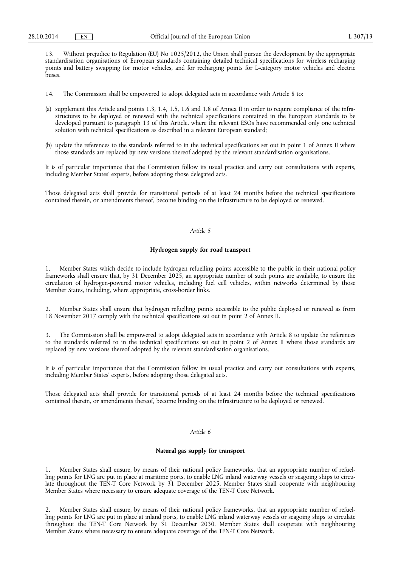13. Without prejudice to Regulation (EU) No 1025/2012, the Union shall pursue the development by the appropriate standardisation organisations of European standards containing detailed technical specifications for wireless recharging points and battery swapping for motor vehicles, and for recharging points for L-category motor vehicles and electric buses.

- 14. The Commission shall be empowered to adopt delegated acts in accordance with Article 8 to:
- (a) supplement this Article and points 1.3, 1.4, 1.5, 1.6 and 1.8 of Annex II in order to require compliance of the infrastructures to be deployed or renewed with the technical specifications contained in the European standards to be developed pursuant to paragraph 13 of this Article, where the relevant ESOs have recommended only one technical solution with technical specifications as described in a relevant European standard;
- (b) update the references to the standards referred to in the technical specifications set out in point 1 of Annex II where those standards are replaced by new versions thereof adopted by the relevant standardisation organisations.

It is of particular importance that the Commission follow its usual practice and carry out consultations with experts, including Member States' experts, before adopting those delegated acts.

Those delegated acts shall provide for transitional periods of at least 24 months before the technical specifications contained therein, or amendments thereof, become binding on the infrastructure to be deployed or renewed.

## *Article 5*

## **Hydrogen supply for road transport**

1. Member States which decide to include hydrogen refuelling points accessible to the public in their national policy frameworks shall ensure that, by 31 December 2025, an appropriate number of such points are available, to ensure the circulation of hydrogen-powered motor vehicles, including fuel cell vehicles, within networks determined by those Member States, including, where appropriate, cross-border links.

2. Member States shall ensure that hydrogen refuelling points accessible to the public deployed or renewed as from 18 November 2017 comply with the technical specifications set out in point 2 of Annex II.

The Commission shall be empowered to adopt delegated acts in accordance with Article 8 to update the references to the standards referred to in the technical specifications set out in point 2 of Annex II where those standards are replaced by new versions thereof adopted by the relevant standardisation organisations.

It is of particular importance that the Commission follow its usual practice and carry out consultations with experts, including Member States' experts, before adopting those delegated acts.

Those delegated acts shall provide for transitional periods of at least 24 months before the technical specifications contained therein, or amendments thereof, become binding on the infrastructure to be deployed or renewed.

## *Article 6*

## **Natural gas supply for transport**

1. Member States shall ensure, by means of their national policy frameworks, that an appropriate number of refuelling points for LNG are put in place at maritime ports, to enable LNG inland waterway vessels or seagoing ships to circulate throughout the TEN-T Core Network by 31 December 2025. Member States shall cooperate with neighbouring Member States where necessary to ensure adequate coverage of the TEN-T Core Network.

2. Member States shall ensure, by means of their national policy frameworks, that an appropriate number of refuelling points for LNG are put in place at inland ports, to enable LNG inland waterway vessels or seagoing ships to circulate throughout the TEN-T Core Network by 31 December 2030. Member States shall cooperate with neighbouring Member States where necessary to ensure adequate coverage of the TEN-T Core Network.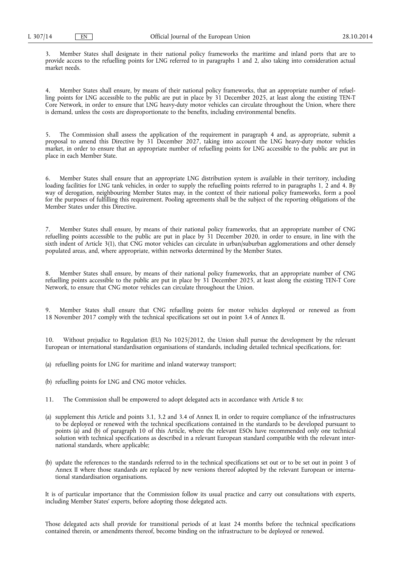3. Member States shall designate in their national policy frameworks the maritime and inland ports that are to provide access to the refuelling points for LNG referred to in paragraphs 1 and 2, also taking into consideration actual market needs.

4. Member States shall ensure, by means of their national policy frameworks, that an appropriate number of refuelling points for LNG accessible to the public are put in place by 31 December 2025, at least along the existing TEN-T Core Network, in order to ensure that LNG heavy-duty motor vehicles can circulate throughout the Union, where there is demand, unless the costs are disproportionate to the benefits, including environmental benefits.

5. The Commission shall assess the application of the requirement in paragraph 4 and, as appropriate, submit a proposal to amend this Directive by 31 December 2027, taking into account the LNG heavy-duty motor vehicles market, in order to ensure that an appropriate number of refuelling points for LNG accessible to the public are put in place in each Member State.

6. Member States shall ensure that an appropriate LNG distribution system is available in their territory, including loading facilities for LNG tank vehicles, in order to supply the refuelling points referred to in paragraphs 1, 2 and 4. By way of derogation, neighbouring Member States may, in the context of their national policy frameworks, form a pool for the purposes of fulfilling this requirement. Pooling agreements shall be the subject of the reporting obligations of the Member States under this Directive.

7. Member States shall ensure, by means of their national policy frameworks, that an appropriate number of CNG refuelling points accessible to the public are put in place by 31 December 2020, in order to ensure, in line with the sixth indent of Article 3(1), that CNG motor vehicles can circulate in urban/suburban agglomerations and other densely populated areas, and, where appropriate, within networks determined by the Member States.

8. Member States shall ensure, by means of their national policy frameworks, that an appropriate number of CNG refuelling points accessible to the public are put in place by 31 December 2025, at least along the existing TEN-T Core Network, to ensure that CNG motor vehicles can circulate throughout the Union.

9. Member States shall ensure that CNG refuelling points for motor vehicles deployed or renewed as from 18 November 2017 comply with the technical specifications set out in point 3.4 of Annex II.

10. Without prejudice to Regulation (EU) No 1025/2012, the Union shall pursue the development by the relevant European or international standardisation organisations of standards, including detailed technical specifications, for:

- (a) refuelling points for LNG for maritime and inland waterway transport;
- (b) refuelling points for LNG and CNG motor vehicles.
- 11. The Commission shall be empowered to adopt delegated acts in accordance with Article 8 to:
- (a) supplement this Article and points 3.1, 3.2 and 3.4 of Annex II, in order to require compliance of the infrastructures to be deployed or renewed with the technical specifications contained in the standards to be developed pursuant to points (a) and (b) of paragraph 10 of this Article, where the relevant ESOs have recommended only one technical solution with technical specifications as described in a relevant European standard compatible with the relevant international standards, where applicable;
- (b) update the references to the standards referred to in the technical specifications set out or to be set out in point 3 of Annex II where those standards are replaced by new versions thereof adopted by the relevant European or international standardisation organisations.

It is of particular importance that the Commission follow its usual practice and carry out consultations with experts, including Member States' experts, before adopting those delegated acts.

Those delegated acts shall provide for transitional periods of at least 24 months before the technical specifications contained therein, or amendments thereof, become binding on the infrastructure to be deployed or renewed.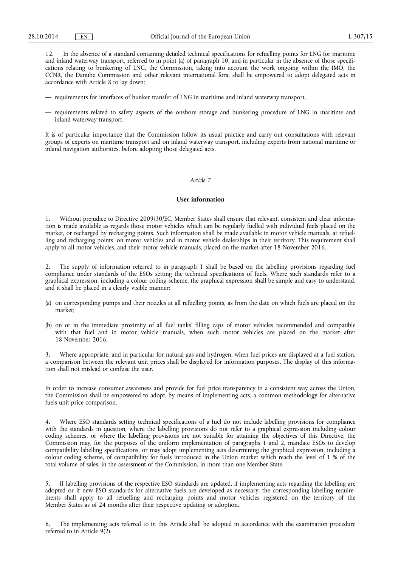12. In the absence of a standard containing detailed technical specifications for refuelling points for LNG for maritime and inland waterway transport, referred to in point (a) of paragraph 10, and in particular in the absence of those specifications relating to bunkering of LNG, the Commission, taking into account the work ongoing within the IMO, the CCNR, the Danube Commission and other relevant international fora, shall be empowered to adopt delegated acts in accordance with Article 8 to lay down:

- requirements for interfaces of bunker transfer of LNG in maritime and inland waterway transport,
- requirements related to safety aspects of the onshore storage and bunkering procedure of LNG in maritime and inland waterway transport.

It is of particular importance that the Commission follow its usual practice and carry out consultations with relevant groups of experts on maritime transport and on inland waterway transport, including experts from national maritime or inland navigation authorities, before adopting those delegated acts.

#### *Article 7*

#### **User information**

1. Without prejudice to Directive 2009/30/EC, Member States shall ensure that relevant, consistent and clear information is made available as regards those motor vehicles which can be regularly fuelled with individual fuels placed on the market, or recharged by recharging points. Such information shall be made available in motor vehicle manuals, at refuelling and recharging points, on motor vehicles and in motor vehicle dealerships in their territory. This requirement shall apply to all motor vehicles, and their motor vehicle manuals, placed on the market after 18 November 2016.

2. The supply of information referred to in paragraph 1 shall be based on the labelling provisions regarding fuel compliance under standards of the ESOs setting the technical specifications of fuels. Where such standards refer to a graphical expression, including a colour coding scheme, the graphical expression shall be simple and easy to understand, and it shall be placed in a clearly visible manner:

- (a) on corresponding pumps and their nozzles at all refuelling points, as from the date on which fuels are placed on the market;
- (b) on or in the immediate proximity of all fuel tanks' filling caps of motor vehicles recommended and compatible with that fuel and in motor vehicle manuals, when such motor vehicles are placed on the market after 18 November 2016.

3. Where appropriate, and in particular for natural gas and hydrogen, when fuel prices are displayed at a fuel station, a comparison between the relevant unit prices shall be displayed for information purposes. The display of this information shall not mislead or confuse the user.

In order to increase consumer awareness and provide for fuel price transparency in a consistent way across the Union, the Commission shall be empowered to adopt, by means of implementing acts, a common methodology for alternative fuels unit price comparison.

Where ESO standards setting technical specifications of a fuel do not include labelling provisions for compliance with the standards in question, where the labelling provisions do not refer to a graphical expression including colour coding schemes, or where the labelling provisions are not suitable for attaining the objectives of this Directive, the Commission may, for the purposes of the uniform implementation of paragraphs 1 and 2, mandate ESOs to develop compatibility labelling specifications, or may adopt implementing acts determining the graphical expression, including a colour coding scheme, of compatibility for fuels introduced in the Union market which reach the level of 1 % of the total volume of sales, in the assessment of the Commission, in more than one Member State.

5. If labelling provisions of the respective ESO standards are updated, if implementing acts regarding the labelling are adopted or if new ESO standards for alternative fuels are developed as necessary, the corresponding labelling requirements shall apply to all refuelling and recharging points and motor vehicles registered on the territory of the Member States as of 24 months after their respective updating or adoption.

6. The implementing acts referred to in this Article shall be adopted in accordance with the examination procedure referred to in Article 9(2).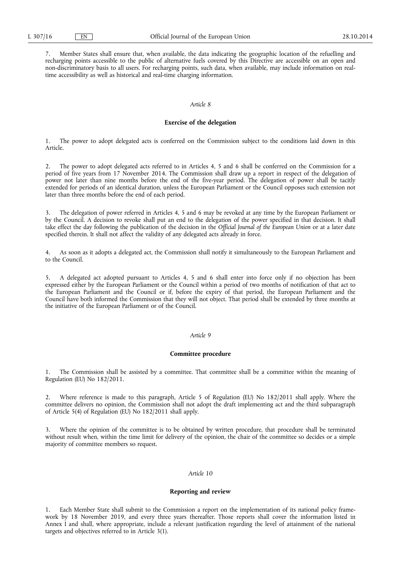7. Member States shall ensure that, when available, the data indicating the geographic location of the refuelling and recharging points accessible to the public of alternative fuels covered by this Directive are accessible on an open and non-discriminatory basis to all users. For recharging points, such data, when available, may include information on realtime accessibility as well as historical and real-time charging information.

#### *Article 8*

## **Exercise of the delegation**

1. The power to adopt delegated acts is conferred on the Commission subject to the conditions laid down in this Article.

2. The power to adopt delegated acts referred to in Articles 4, 5 and 6 shall be conferred on the Commission for a period of five years from 17 November 2014. The Commission shall draw up a report in respect of the delegation of power not later than nine months before the end of the five-year period. The delegation of power shall be tacitly extended for periods of an identical duration, unless the European Parliament or the Council opposes such extension not later than three months before the end of each period.

The delegation of power referred in Articles 4, 5 and 6 may be revoked at any time by the European Parliament or by the Council. A decision to revoke shall put an end to the delegation of the power specified in that decision. It shall take effect the day following the publication of the decision in the *Official Journal of the European Union* or at a later date specified therein. It shall not affect the validity of any delegated acts already in force.

4. As soon as it adopts a delegated act, the Commission shall notify it simultaneously to the European Parliament and to the Council.

5. A delegated act adopted pursuant to Articles 4, 5 and 6 shall enter into force only if no objection has been expressed either by the European Parliament or the Council within a period of two months of notification of that act to the European Parliament and the Council or if, before the expiry of that period, the European Parliament and the Council have both informed the Commission that they will not object. That period shall be extended by three months at the initiative of the European Parliament or of the Council.

#### *Article 9*

#### **Committee procedure**

1. The Commission shall be assisted by a committee. That committee shall be a committee within the meaning of Regulation (EU) No 182/2011.

2. Where reference is made to this paragraph, Article 5 of Regulation (EU) No 182/2011 shall apply. Where the committee delivers no opinion, the Commission shall not adopt the draft implementing act and the third subparagraph of Article 5(4) of Regulation (EU) No 182/2011 shall apply.

Where the opinion of the committee is to be obtained by written procedure, that procedure shall be terminated without result when, within the time limit for delivery of the opinion, the chair of the committee so decides or a simple majority of committee members so request.

## *Article 10*

#### **Reporting and review**

1. Each Member State shall submit to the Commission a report on the implementation of its national policy framework by 18 November 2019, and every three years thereafter. Those reports shall cover the information listed in Annex I and shall, where appropriate, include a relevant justification regarding the level of attainment of the national targets and objectives referred to in Article 3(1).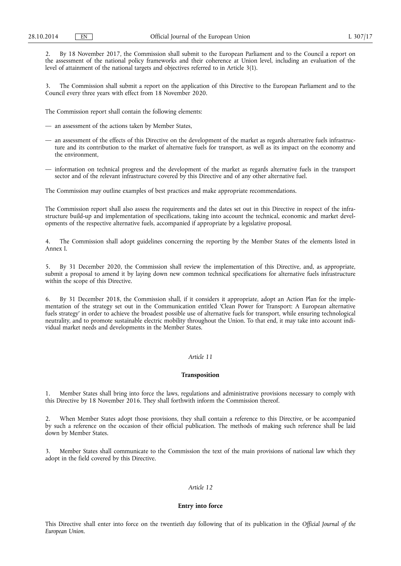2. By 18 November 2017, the Commission shall submit to the European Parliament and to the Council a report on the assessment of the national policy frameworks and their coherence at Union level, including an evaluation of the level of attainment of the national targets and objectives referred to in Article 3(1).

The Commission shall submit a report on the application of this Directive to the European Parliament and to the Council every three years with effect from 18 November 2020.

The Commission report shall contain the following elements:

- an assessment of the actions taken by Member States,
- an assessment of the effects of this Directive on the development of the market as regards alternative fuels infrastructure and its contribution to the market of alternative fuels for transport, as well as its impact on the economy and the environment,
- information on technical progress and the development of the market as regards alternative fuels in the transport sector and of the relevant infrastructure covered by this Directive and of any other alternative fuel.

The Commission may outline examples of best practices and make appropriate recommendations.

The Commission report shall also assess the requirements and the dates set out in this Directive in respect of the infrastructure build-up and implementation of specifications, taking into account the technical, economic and market developments of the respective alternative fuels, accompanied if appropriate by a legislative proposal.

4. The Commission shall adopt guidelines concerning the reporting by the Member States of the elements listed in Annex I.

5. By 31 December 2020, the Commission shall review the implementation of this Directive, and, as appropriate, submit a proposal to amend it by laying down new common technical specifications for alternative fuels infrastructure within the scope of this Directive.

6. By 31 December 2018, the Commission shall, if it considers it appropriate, adopt an Action Plan for the implementation of the strategy set out in the Communication entitled 'Clean Power for Transport: A European alternative fuels strategy' in order to achieve the broadest possible use of alternative fuels for transport, while ensuring technological neutrality, and to promote sustainable electric mobility throughout the Union. To that end, it may take into account individual market needs and developments in the Member States.

## *Article 11*

#### **Transposition**

1. Member States shall bring into force the laws, regulations and administrative provisions necessary to comply with this Directive by 18 November 2016. They shall forthwith inform the Commission thereof.

2. When Member States adopt those provisions, they shall contain a reference to this Directive, or be accompanied by such a reference on the occasion of their official publication. The methods of making such reference shall be laid down by Member States.

3. Member States shall communicate to the Commission the text of the main provisions of national law which they adopt in the field covered by this Directive.

## *Article 12*

## **Entry into force**

This Directive shall enter into force on the twentieth day following that of its publication in the *Official Journal of the European Union*.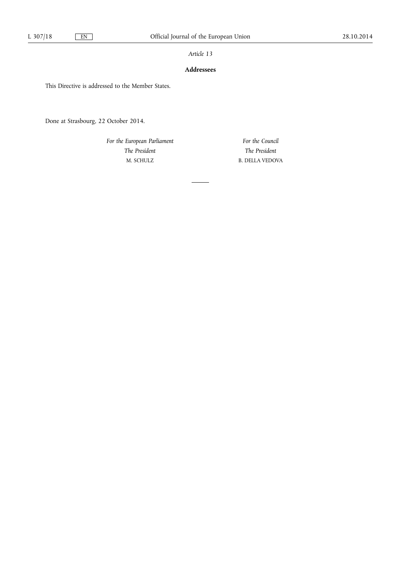## *Article 13*

## **Addressees**

This Directive is addressed to the Member States.

Done at Strasbourg, 22 October 2014.

*For the European Parliament The President*  M. SCHULZ

*For the Council The President*  B. DELLA VEDOVA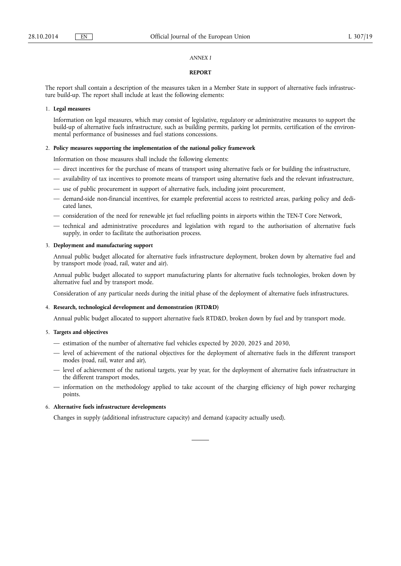#### *ANNEX I*

## **REPORT**

The report shall contain a description of the measures taken in a Member State in support of alternative fuels infrastructure build-up. The report shall include at least the following elements:

#### 1. **Legal measures**

Information on legal measures, which may consist of legislative, regulatory or administrative measures to support the build-up of alternative fuels infrastructure, such as building permits, parking lot permits, certification of the environmental performance of businesses and fuel stations concessions.

#### 2. **Policy measures supporting the implementation of the national policy framework**

Information on those measures shall include the following elements:

- direct incentives for the purchase of means of transport using alternative fuels or for building the infrastructure,
- availability of tax incentives to promote means of transport using alternative fuels and the relevant infrastructure,
- use of public procurement in support of alternative fuels, including joint procurement,
- demand-side non-financial incentives, for example preferential access to restricted areas, parking policy and dedicated lanes,
- consideration of the need for renewable jet fuel refuelling points in airports within the TEN-T Core Network,
- technical and administrative procedures and legislation with regard to the authorisation of alternative fuels supply, in order to facilitate the authorisation process.

## 3. **Deployment and manufacturing support**

Annual public budget allocated for alternative fuels infrastructure deployment, broken down by alternative fuel and by transport mode (road, rail, water and air).

Annual public budget allocated to support manufacturing plants for alternative fuels technologies, broken down by alternative fuel and by transport mode.

Consideration of any particular needs during the initial phase of the deployment of alternative fuels infrastructures.

#### 4. **Research, technological development and demonstration (RTD&D)**

Annual public budget allocated to support alternative fuels RTD&D, broken down by fuel and by transport mode.

## 5. **Targets and objectives**

- estimation of the number of alternative fuel vehicles expected by 2020, 2025 and 2030,
- level of achievement of the national objectives for the deployment of alternative fuels in the different transport modes (road, rail, water and air),
- level of achievement of the national targets, year by year, for the deployment of alternative fuels infrastructure in the different transport modes,
- information on the methodology applied to take account of the charging efficiency of high power recharging points.

## 6. **Alternative fuels infrastructure developments**

Changes in supply (additional infrastructure capacity) and demand (capacity actually used).